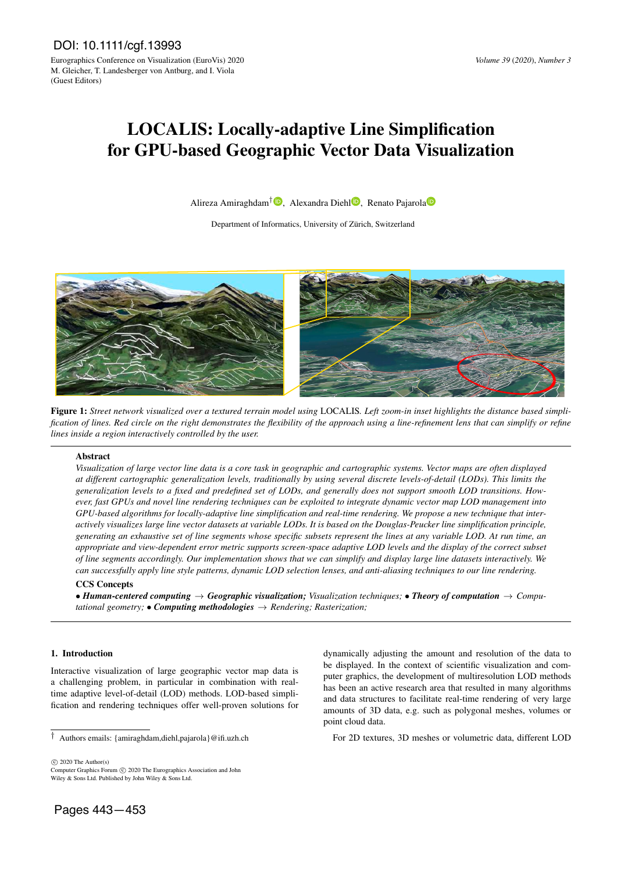# LOCALIS: Locally-adaptive Line Simplification for GPU-based Geographic Vector Data Visualization

Alireza Amiraghdam<sup>†</sup><sup>1</sup>[,](https://orcid.org/0000-0002-2943-4051) Alex[a](https://orcid.org/0000-0002-6724-526X)ndra Diehl<sup>1</sup>, Renato Pajarola

Department of Informatics, University of Zürich, Switzerland



Figure 1: *Street network visualized over a textured terrain model using* LOCALIS*. Left zoom-in inset highlights the distance based simplification of lines. Red circle on the right demonstrates the flexibility of the approach using a line-refinement lens that can simplify or refine lines inside a region interactively controlled by the user.*

## Abstract

*Visualization of large vector line data is a core task in geographic and cartographic systems. Vector maps are often displayed at different cartographic generalization levels, traditionally by using several discrete levels-of-detail (LODs). This limits the generalization levels to a fixed and predefined set of LODs, and generally does not support smooth LOD transitions. However, fast GPUs and novel line rendering techniques can be exploited to integrate dynamic vector map LOD management into GPU-based algorithms for locally-adaptive line simplification and real-time rendering. We propose a new technique that interactively visualizes large line vector datasets at variable LODs. It is based on the Douglas-Peucker line simplification principle, generating an exhaustive set of line segments whose specific subsets represent the lines at any variable LOD. At run time, an appropriate and view-dependent error metric supports screen-space adaptive LOD levels and the display of the correct subset of line segments accordingly. Our implementation shows that we can simplify and display large line datasets interactively. We can successfully apply line style patterns, dynamic LOD selection lenses, and anti-aliasing techniques to our line rendering.*

# CCS Concepts

• *Human-centered computing* → *Geographic visualization; Visualization techniques;* • *Theory of computation* → *Computational geometry;* • *Computing methodologies*  $\rightarrow$  *Rendering; Rasterization;* 

# 1. Introduction

Interactive visualization of large geographic vector map data is a challenging problem, in particular in combination with realtime adaptive level-of-detail (LOD) methods. LOD-based simplification and rendering techniques offer well-proven solutions for dynamically adjusting the amount and resolution of the data to be displayed. In the context of scientific visualization and computer graphics, the development of multiresolution LOD methods has been an active research area that resulted in many algorithms and data structures to facilitate real-time rendering of very large amounts of 3D data, e.g. such as polygonal meshes, volumes or point cloud data.

For 2D textures, 3D meshes or volumetric data, different LOD

 $\circled{c}$  2020 The Author(s)

Computer Graphics Forum (C) 2020 The Eurographics Association and John Wiley & Sons Ltd. Published by John Wiley & Sons Ltd.

<sup>†</sup> Authors emails: {amiraghdam,diehl,pajarola}@ifi.uzh.ch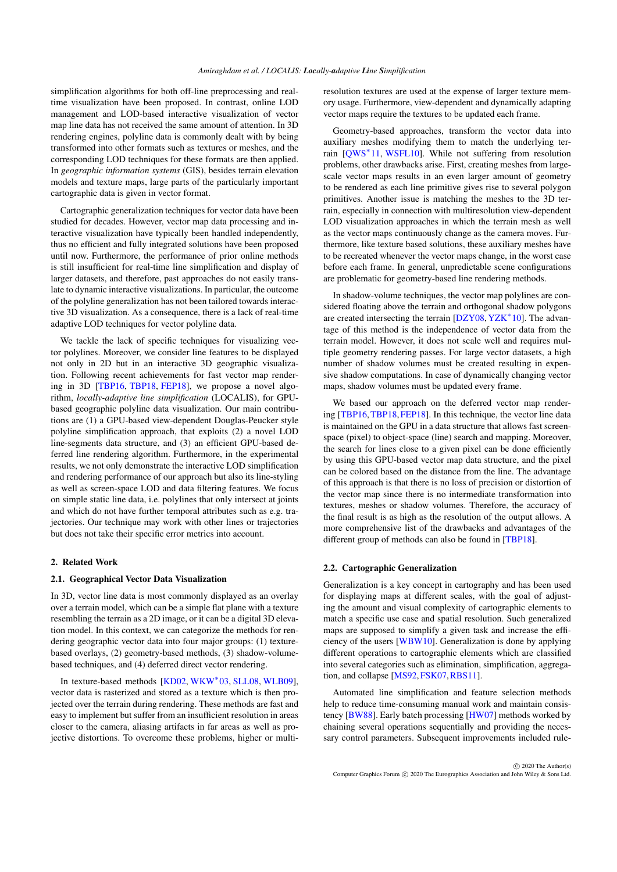<span id="page-1-0"></span>simplification algorithms for both off-line preprocessing and realtime visualization have been proposed. In contrast, online LOD management and LOD-based interactive visualization of vector map line data has not received the same amount of attention. In 3D rendering engines, polyline data is commonly dealt with by being transformed into other formats such as textures or meshes, and the corresponding LOD techniques for these formats are then applied. In *geographic information systems* (GIS), besides terrain elevation models and texture maps, large parts of the particularly important cartographic data is given in vector format.

Cartographic generalization techniques for vector data have been studied for decades. However, vector map data processing and interactive visualization have typically been handled independently, thus no efficient and fully integrated solutions have been proposed until now. Furthermore, the performance of prior online methods is still insufficient for real-time line simplification and display of larger datasets, and therefore, past approaches do not easily translate to dynamic interactive visualizations. In particular, the outcome of the polyline generalization has not been tailored towards interactive 3D visualization. As a consequence, there is a lack of real-time adaptive LOD techniques for vector polyline data.

We tackle the lack of specific techniques for visualizing vector polylines. Moreover, we consider line features to be displayed not only in 2D but in an interactive 3D geographic visualization. Following recent achievements for fast vector map rendering in 3D [\[TBP16,](#page-10-0) [TBP18,](#page-10-1) [FEP18\]](#page-10-2), we propose a novel algorithm, *locally-adaptive line simplification* (LOCALIS), for GPUbased geographic polyline data visualization. Our main contributions are (1) a GPU-based view-dependent Douglas-Peucker style polyline simplification approach, that exploits (2) a novel LOD line-segments data structure, and (3) an efficient GPU-based deferred line rendering algorithm. Furthermore, in the experimental results, we not only demonstrate the interactive LOD simplification and rendering performance of our approach but also its line-styling as well as screen-space LOD and data filtering features. We focus on simple static line data, i.e. polylines that only intersect at joints and which do not have further temporal attributes such as e.g. trajectories. Our technique may work with other lines or trajectories but does not take their specific error metrics into account.

## 2. Related Work

## 2.1. Geographical Vector Data Visualization

In 3D, vector line data is most commonly displayed as an overlay over a terrain model, which can be a simple flat plane with a texture resembling the terrain as a 2D image, or it can be a digital 3D elevation model. In this context, we can categorize the methods for rendering geographic vector data into four major groups: (1) texturebased overlays, (2) geometry-based methods, (3) shadow-volumebased techniques, and (4) deferred direct vector rendering.

In texture-based methods [\[KD02,](#page-10-3) [WKW](#page-10-4)<sup>\*</sup>03, [SLL08,](#page-10-5) [WLB09\]](#page-10-6), vector data is rasterized and stored as a texture which is then projected over the terrain during rendering. These methods are fast and easy to implement but suffer from an insufficient resolution in areas closer to the camera, aliasing artifacts in far areas as well as projective distortions. To overcome these problems, higher or multiresolution textures are used at the expense of larger texture memory usage. Furthermore, view-dependent and dynamically adapting vector maps require the textures to be updated each frame.

Geometry-based approaches, transform the vector data into auxiliary meshes modifying them to match the underlying ter-rain [\[QWS](#page-10-7)<sup>\*</sup>11, [WSFL10\]](#page-10-8). While not suffering from resolution problems, other drawbacks arise. First, creating meshes from largescale vector maps results in an even larger amount of geometry to be rendered as each line primitive gives rise to several polygon primitives. Another issue is matching the meshes to the 3D terrain, especially in connection with multiresolution view-dependent LOD visualization approaches in which the terrain mesh as well as the vector maps continuously change as the camera moves. Furthermore, like texture based solutions, these auxiliary meshes have to be recreated whenever the vector maps change, in the worst case before each frame. In general, unpredictable scene configurations are problematic for geometry-based line rendering methods.

In shadow-volume techniques, the vector map polylines are considered floating above the terrain and orthogonal shadow polygons are created intersecting the terrain [\[DZY08,](#page-10-9) [YZK](#page-10-10)<sup>\*</sup>10]. The advantage of this method is the independence of vector data from the terrain model. However, it does not scale well and requires multiple geometry rendering passes. For large vector datasets, a high number of shadow volumes must be created resulting in expensive shadow computations. In case of dynamically changing vector maps, shadow volumes must be updated every frame.

We based our approach on the deferred vector map render-ing [\[TBP16,](#page-10-0) [TBP18,](#page-10-1) [FEP18\]](#page-10-2). In this technique, the vector line data is maintained on the GPU in a data structure that allows fast screenspace (pixel) to object-space (line) search and mapping. Moreover, the search for lines close to a given pixel can be done efficiently by using this GPU-based vector map data structure, and the pixel can be colored based on the distance from the line. The advantage of this approach is that there is no loss of precision or distortion of the vector map since there is no intermediate transformation into textures, meshes or shadow volumes. Therefore, the accuracy of the final result is as high as the resolution of the output allows. A more comprehensive list of the drawbacks and advantages of the different group of methods can also be found in [\[TBP18\]](#page-10-1).

## 2.2. Cartographic Generalization

Generalization is a key concept in cartography and has been used for displaying maps at different scales, with the goal of adjusting the amount and visual complexity of cartographic elements to match a specific use case and spatial resolution. Such generalized maps are supposed to simplify a given task and increase the efficiency of the users [\[WBW10\]](#page-10-11). Generalization is done by applying different operations to cartographic elements which are classified into several categories such as elimination, simplification, aggregation, and collapse [\[MS92,](#page-10-12)[FSK07,](#page-10-13)[RBS11\]](#page-10-14).

Automated line simplification and feature selection methods help to reduce time-consuming manual work and maintain consistency [\[BW88\]](#page-10-15). Early batch processing [\[HW07\]](#page-10-16) methods worked by chaining several operations sequentially and providing the necessary control parameters. Subsequent improvements included rule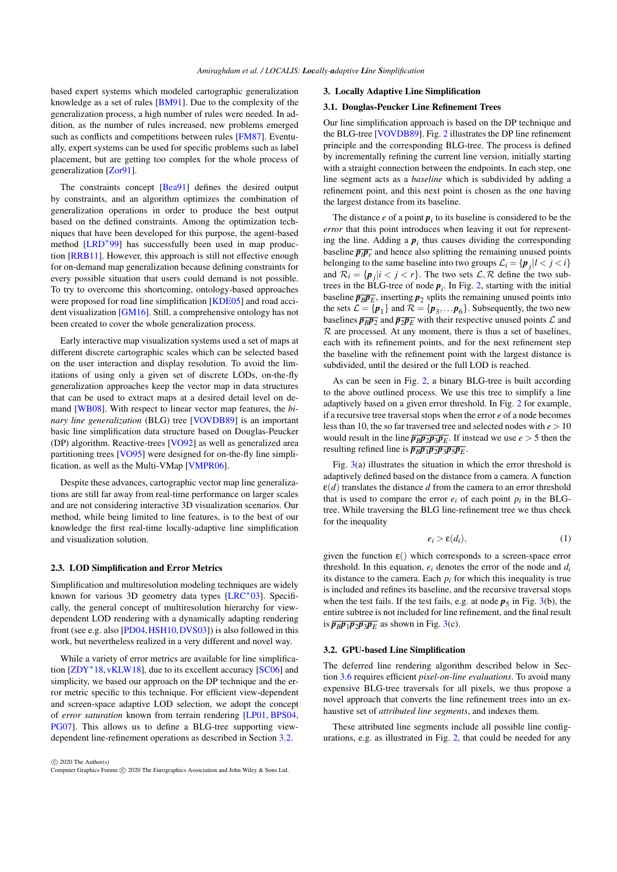<span id="page-2-3"></span>based expert systems which modeled cartographic generalization knowledge as a set of rules [\[BM91\]](#page-10-17). Due to the complexity of the generalization process, a high number of rules were needed. In addition, as the number of rules increased, new problems emerged such as conflicts and competitions between rules [\[FM87\]](#page-10-18). Eventually, expert systems can be used for specific problems such as label placement, but are getting too complex for the whole process of generalization [\[Zor91\]](#page-10-19).

The constraints concept [\[Bea91\]](#page-9-0) defines the desired output by constraints, and an algorithm optimizes the combination of generalization operations in order to produce the best output based on the defined constraints. Among the optimization techniques that have been developed for this purpose, the agent-based method [\[LRD](#page-10-20)<sup>∗</sup> 99] has successfully been used in map production [\[RRB11\]](#page-10-21). However, this approach is still not effective enough for on-demand map generalization because defining constraints for every possible situation that users could demand is not possible. To try to overcome this shortcoming, ontology-based approaches were proposed for road line simplification [\[KDE05\]](#page-10-22) and road accident visualization [\[GM16\]](#page-10-23). Still, a comprehensive ontology has not been created to cover the whole generalization process.

Early interactive map visualization systems used a set of maps at different discrete cartographic scales which can be selected based on the user interaction and display resolution. To avoid the limitations of using only a given set of discrete LODs, on-the-fly generalization approaches keep the vector map in data structures that can be used to extract maps at a desired detail level on demand [\[WB08\]](#page-10-24). With respect to linear vector map features, the *binary line generalization* (BLG) tree [\[VOVDB89\]](#page-10-25) is an important basic line simplification data structure based on Douglas-Peucker (DP) algorithm. Reactive-trees [\[VO92\]](#page-10-26) as well as generalized area partitioning trees [\[VO95\]](#page-10-27) were designed for on-the-fly line simplification, as well as the Multi-VMap [\[VMPR06\]](#page-10-28).

Despite these advances, cartographic vector map line generalizations are still far away from real-time performance on larger scales and are not considering interactive 3D visualization scenarios. Our method, while being limited to line features, is to the best of our knowledge the first real-time locally-adaptive line simplification and visualization solution.

## 2.3. LOD Simplification and Error Metrics

Simplification and multiresolution modeling techniques are widely known for various 3D geometry data types [\[LRC](#page-10-29)<sup>\*</sup>03]. Specifically, the general concept of multiresolution hierarchy for viewdependent LOD rendering with a dynamically adapting rendering front (see e.g. also [\[PD04,](#page-10-30)[HSH10,](#page-10-31)[DVS03\]](#page-10-32)) is also followed in this work, but nevertheless realized in a very different and novel way.

While a variety of error metrics are available for line simplifica-tion [\[ZDY](#page-10-33)<sup>\*</sup>18, [vKLW18\]](#page-10-34), due to its excellent accuracy [\[SC06\]](#page-10-35) and simplicity, we based our approach on the DP technique and the error metric specific to this technique. For efficient view-dependent and screen-space adaptive LOD selection, we adopt the concept of *error saturation* known from terrain rendering [\[LP01,](#page-10-36) [BPS04,](#page-10-37) [PG07\]](#page-10-38). This allows us to define a BLG-tree supporting viewdependent line-refinement operations as described in Section [3.2.](#page-2-0)

 c 2020 The Author(s) Computer Graphics Forum (C) 2020 The Eurographics Association and John Wiley & Sons Ltd.

## <span id="page-2-2"></span>3. Locally Adaptive Line Simplification

## 3.1. Douglas-Peucker Line Refinement Trees

Our line simplification approach is based on the DP technique and the BLG-tree [\[VOVDB89\]](#page-10-25). Fig. [2](#page-3-0) illustrates the DP line refinement principle and the corresponding BLG-tree. The process is defined by incrementally refining the current line version, initially starting with a straight connection between the endpoints. In each step, one line segment acts as a *baseline* which is subdivided by adding a refinement point, and this next point is chosen as the one having the largest distance from its baseline.

The distance  $e$  of a point  $p_i$  to its baseline is considered to be the *error* that this point introduces when leaving it out for representing the line. Adding a  $p_i$  thus causes dividing the corresponding baseline  $\overline{p_l p_r}$  and hence also splitting the remaining unused points belonging to the same baseline into two groups  $\mathcal{L}_i = \{ \mathbf{p}_j | l < j < i \}$ and  $\mathcal{R}_i = \{ p_j | i < j < r \}$ . The two sets  $\mathcal{L}, \mathcal{R}$  define the two subtrees in the BLG-tree of node  $p_i$ . In Fig. [2,](#page-3-0) starting with the initial baseline  $\overline{p_B p_E}$ , inserting  $p_2$  splits the remaining unused points into the sets  $\mathcal{L} = {\mathbf{p}_1}$  and  $\mathcal{R} = {\mathbf{p}_3, \dots, \mathbf{p}_6}$ . Subsequently, the two new baselines  $\overline{p_B p_2}$  and  $\overline{p_2 p_E}$  with their respective unused points  $\mathcal L$  and  $R$  are processed. At any moment, there is thus a set of baselines, each with its refinement points, and for the next refinement step the baseline with the refinement point with the largest distance is subdivided, until the desired or the full LOD is reached.

As can be seen in Fig. [2,](#page-3-0) a binary BLG-tree is built according to the above outlined process. We use this tree to simplify a line adaptively based on a given error threshold. In Fig. [2](#page-3-0) for example, if a recursive tree traversal stops when the error *e* of a node becomes less than 10, the so far traversed tree and selected nodes with *e* > 10 would result in the line  $\overline{p_B p_2 p_3 p_E}$ . If instead we use  $e > 5$  then the resulting refined line is  $\overline{p_B p_1 p_2 p_3 p_5 p_E}$ .

Fig.  $3(a)$  $3(a)$  illustrates the situation in which the error threshold is adaptively defined based on the distance from a camera. A function  $\varepsilon$ (*d*) translates the distance *d* from the camera to an error threshold that is used to compare the error  $e_i$  of each point  $p_i$  in the BLGtree. While traversing the BLG line-refinement tree we thus check for the inequality

<span id="page-2-1"></span>
$$
e_i > \varepsilon(d_i),\tag{1}
$$

given the function  $\varepsilon$ () which corresponds to a screen-space error threshold. In this equation,  $e_i$  denotes the error of the node and  $d_i$ its distance to the camera. Each  $p_i$  for which this inequality is true is included and refines its baseline, and the recursive traversal stops when the test fails. If the test fails, e.g. at node  $p_5$  in Fig. [3\(](#page-3-1)b), the entire subtree is not included for line refinement, and the final result is  $\overline{p_B p_1 p_2 p_3 p_E}$  as shown in Fig. [3\(](#page-3-1)c).

## <span id="page-2-0"></span>3.2. GPU-based Line Simplification

The deferred line rendering algorithm described below in Section [3.6](#page-5-0) requires efficient *pixel-on-line evaluations*. To avoid many expensive BLG-tree traversals for all pixels, we thus propose a novel approach that converts the line refinement trees into an exhaustive set of *attributed line segments*, and indexes them.

These attributed line segments include all possible line configurations, e.g. as illustrated in Fig. [2,](#page-3-0) that could be needed for any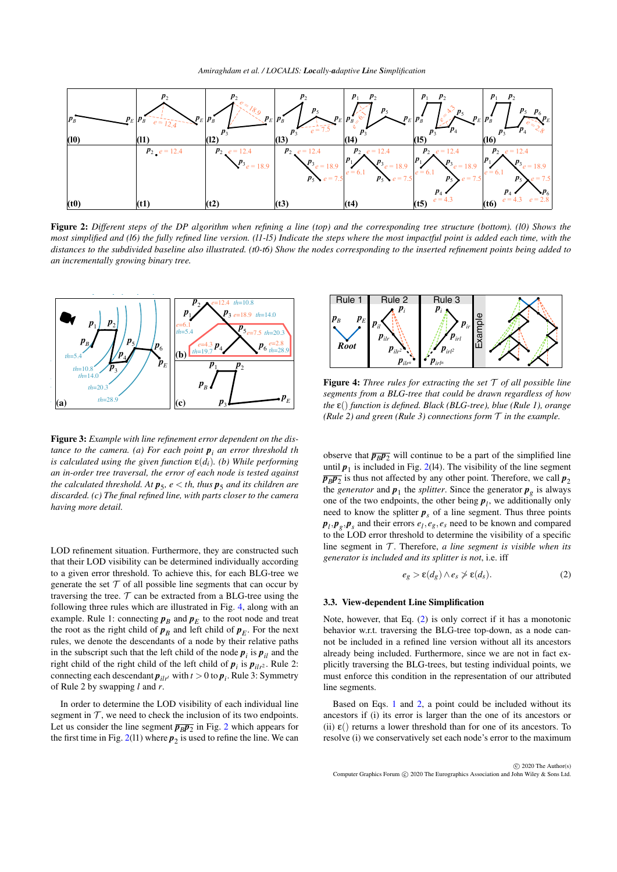

Figure 2: *Different steps of the DP algorithm when refining a line (top) and the corresponding tree structure (bottom). (l0) Shows the most simplified and (l6) the fully refined line version. (l1-l5) Indicate the steps where the most impactful point is added each time, with the distances to the subdivided baseline also illustrated. (t0-t6) Show the nodes corresponding to the inserted refinement points being added to an incrementally growing binary tree.*



<span id="page-3-1"></span>Figure 3: *Example with line refinement error dependent on the distance to the camera. (a) For each point p<sup>i</sup> an error threshold th is calculated using the given function*  $\varepsilon(d_i)$ *. (b) While performing an in-order tree traversal, the error of each node is tested against the calculated threshold. At*  $p_5$ *,*  $e <$  *th, thus*  $p_5$  *and its children are discarded. (c) The final refined line, with parts closer to the camera having more detail.*

LOD refinement situation. Furthermore, they are constructed such that their LOD visibility can be determined individually according to a given error threshold. To achieve this, for each BLG-tree we generate the set  $T$  of all possible line segments that can occur by traversing the tree.  $\mathcal T$  can be extracted from a BLG-tree using the following three rules which are illustrated in Fig. [4,](#page-3-2) along with an example. Rule 1: connecting  $p_B$  and  $p_E$  to the root node and treat the root as the right child of  $p_B$  and left child of  $p_E$ . For the next rules, we denote the descendants of a node by their relative paths in the subscript such that the left child of the node  $p_i$  is  $p_{il}$  and the right child of the right child of the left child of  $p_i$  is  $p_{ilr^2}$ . Rule 2: connecting each descendant  $p_{ilr'}$  with  $t > 0$  to  $p_i$ . Rule 3: Symmetry of Rule 2 by swapping *l* and *r*. is used to refine the line. We can Rule 1

In order to determine the LOD visibility of each individual line segment in  $T$ , we need to check the inclusion of its two endpoints. Let us consider the line segment  $\overline{p_B p_2}$  $\overline{p_B p_2}$  $\overline{p_B p_2}$  in Fig. 2 which appears for the first time in Fig.  $2(11)$  $2(11)$  where  $p_2$  is used to refine the line. We can

<span id="page-3-0"></span>

<span id="page-3-2"></span>Figure 4: *Three rules for extracting the set* T *of all possible line segments from a BLG-tree that could be drawn regardless of how the* ε() *function is defined. Black (BLG-tree), blue (Rule 1), orange (Rule 2) and green (Rule 3) connections form* T *in the example.*

observe that  $\overline{p_B p_2}$  will continue to be a part of the simplified line until  $p_1$  is included in Fig. [2\(](#page-3-0)14). The visibility of the line segment  $\overline{p_B p_2}$  is thus not affected by any other point. Therefore, we call  $p_2$ the *generator* and  $p_1$  the *splitter*. Since the generator  $p_g$  is always one of the two endpoints, the other being  $p_l$ , we additionally only need to know the splitter  $p<sub>s</sub>$  of a line segment. Thus three points  $p_l$ ,  $p_g$ ,  $p_s$  and their errors  $e_l$ ,  $e_g$ ,  $e_s$  need to be known and compared to the LOD error threshold to determine the visibility of a specific line segment in  $T$ . Therefore,  $a$  line segment is visible when its *generator is included and its splitter is not*, i.e. iff

<span id="page-3-3"></span>
$$
e_g > \varepsilon(d_g) \wedge e_s \nless \varepsilon(d_s). \tag{2}
$$

#### 3.3. View-dependent Line Simplification

Note, however, that Eq. [\(2\)](#page-3-3) is only correct if it has a monotonic behavior w.r.t. traversing the BLG-tree top-down, as a node cannot be included in a refined line version without all its ancestors already being included. Furthermore, since we are not in fact explicitly traversing the BLG-trees, but testing individual points, we must enforce this condition in the representation of our attributed line segments.

Based on Eqs. [1](#page-2-1) and [2,](#page-3-3) a point could be included without its ancestors if (i) its error is larger than the one of its ancestors or (ii)  $\varepsilon$ () returns a lower threshold than for one of its ancestors. To resolve (i) we conservatively set each node's error to the maximum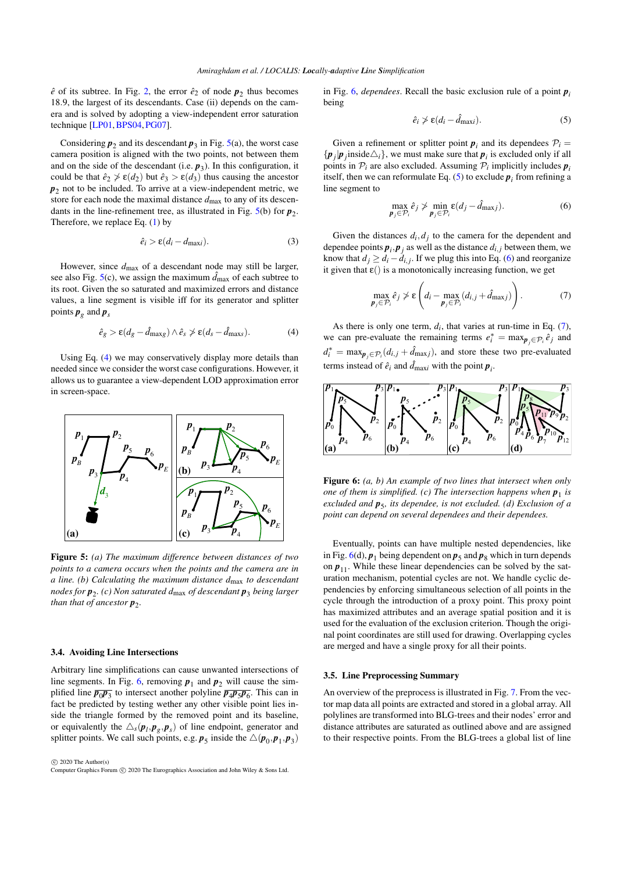<span id="page-4-6"></span> $\hat{e}$  of its subtree. In Fig. [2,](#page-3-0) the error  $\hat{e}_2$  of node  $p_2$  thus becomes 18.9, the largest of its descendants. Case (ii) depends on the camera and is solved by adopting a view-independent error saturation technique [\[LP01,](#page-10-36)[BPS04,](#page-10-37)[PG07\]](#page-10-38).

Considering  $p_2$  and its descendant  $p_3$  in Fig. [5\(](#page-4-0)a), the worst case camera position is aligned with the two points, not between them and on the side of the descendant  $(i.e.  $p_3$ ). In this configuration, it$ could be that  $\hat{e}_2 \ngeq \varepsilon(d_2)$  but  $\hat{e}_3 > \varepsilon(d_3)$  thus causing the ancestor *p*2 not to be included. To arrive at a view-independent metric, we store for each node the maximal distance *d*max to any of its descendants in the line-refinement tree, as illustrated in Fig.  $5(b)$  $5(b)$  for  $p_2$ . Therefore, we replace Eq. [\(1\)](#page-2-1) by

$$
\hat{e}_i > \varepsilon (d_i - d_{\text{max}}). \tag{3}
$$

However, since *d*max of a descendant node may still be larger, see also Fig.  $5(c)$  $5(c)$ , we assign the maximum  $\hat{d}_{\text{max}}$  of each subtree to its root. Given the so saturated and maximized errors and distance values, a line segment is visible iff for its generator and splitter points  $\boldsymbol{p}_g$  and  $\boldsymbol{p}_s$ 

<span id="page-4-1"></span>
$$
\hat{e}_g > \varepsilon (d_g - \hat{d}_{\text{maxg}}) \wedge \hat{e}_s \ngtr \varepsilon (d_s - \hat{d}_{\text{maxs}}). \tag{4}
$$

Using Eq. [\(4\)](#page-4-1) we may conservatively display more details than needed since we consider the worst case configurations. However, it allows us to guarantee a view-dependent LOD approximation error in screen-space.



Figure 5: *(a) The maximum difference between distances of two points to a camera occurs when the points and the camera are in a line. (b) Calculating the maximum distance d*max *to descendant nodes for p*<sup>2</sup> *. (c) Non saturated d*max *of descendant p*<sup>3</sup> *being larger than that of ancestor p*<sup>2</sup> *.*

### 3.4. Avoiding Line Intersections

Arbitrary line simplifications can cause unwanted intersections of line segments. In Fig. [6,](#page-4-2) removing  $p_1$  and  $p_2$  will cause the simplified line  $\overline{p_0p_3}$  to intersect another polyline  $\overline{p_4p_5p_6}$ . This can in fact be predicted by testing wether any other visible point lies inside the triangle formed by the removed point and its baseline, or equivalently the  $\triangle_s(\boldsymbol{p}_l, \boldsymbol{p}_g, \boldsymbol{p}_s)$  of line endpoint, generator and splitter points. We call such points, e.g.  $p_5$  inside the  $\triangle(p_0, p_1, p_3)$ 

 $\odot$  2020 The Author(s) Computer Graphics Forum (C) 2020 The Eurographics Association and John Wiley & Sons Ltd. <span id="page-4-3"></span>in Fig. [6,](#page-4-2) *dependees*. Recall the basic exclusion rule of a point  $p_i$ being

$$
\hat{e}_i \not> \varepsilon (d_i - \hat{d}_{\text{max}i}). \tag{5}
$$

Given a refinement or splitter point  $p_i$  and its dependees  $P_i$  $\{p_j | p_j \text{ inside } \triangle_i\}$ , we must make sure that  $p_i$  is excluded only if all points in  $P_i$  are also excluded. Assuming  $P_i$  implicitly includes  $p_i$ itself, then we can reformulate Eq.  $(5)$  to exclude  $p_i$  from refining a line segment to

<span id="page-4-5"></span><span id="page-4-4"></span>
$$
\max_{\boldsymbol{p}_j \in \mathcal{P}_i} \hat{e}_j \nsucceq \min_{\boldsymbol{p}_j \in \mathcal{P}_i} \varepsilon(d_j - \hat{d}_{\max j}).\tag{6}
$$

Given the distances  $d_i, d_j$  to the camera for the dependent and dependee points  $\boldsymbol{p}_i, \boldsymbol{p}_j$  as well as the distance  $d_{i,j}$  between them, we know that  $d_j \geq d_i - d_{i,j}$ . If we plug this into Eq. [\(6\)](#page-4-4) and reorganize it given that  $\varepsilon()$  is a monotonically increasing function, we get

$$
\max_{\boldsymbol{p}_j \in \mathcal{P}_i} \hat{e}_j \ngeq \epsilon \left( d_i - \max_{\boldsymbol{p}_j \in \mathcal{P}_i} (d_{i,j} + \hat{d}_{\text{max}j}) \right). \tag{7}
$$

As there is only one term,  $d_i$ , that varies at run-time in Eq.  $(7)$ , we can pre-evaluate the remaining terms  $e_i^* = \max_{p_j \in \mathcal{P}_i} \hat{e}_j$  and  $d_i^* = \max_{\mathbf{p}_j \in \mathcal{P}_i} (d_{i,j} + \hat{d}_{\text{max}j})$ , and store these two pre-evaluated terms instead of  $\hat{e}_i$  and  $\hat{d}_{\text{max}i}$  with the point  $p_i$ .



<span id="page-4-2"></span>Figure 6: *(a, b) An example of two lines that intersect when only one of them is simplified. (c) The intersection happens when*  $p_1$  *is excluded and p*<sup>5</sup> *, its dependee, is not excluded. (d) Exclusion of a point can depend on several dependees and their dependees.*

<span id="page-4-0"></span>Eventually, points can have multiple nested dependencies, like in Fig.  $6(d)$  $6(d)$ ,  $\boldsymbol{p}_1$  being dependent on  $\boldsymbol{p}_5$  and  $\boldsymbol{p}_8$  which in turn depends on  $p_{11}$ . While these linear dependencies can be solved by the saturation mechanism, potential cycles are not. We handle cyclic dependencies by enforcing simultaneous selection of all points in the cycle through the introduction of a proxy point. This proxy point has maximized attributes and an average spatial position and it is used for the evaluation of the exclusion criterion. Though the original point coordinates are still used for drawing. Overlapping cycles are merged and have a single proxy for all their points.

#### 3.5. Line Preprocessing Summary

An overview of the preprocess is illustrated in Fig. [7.](#page-5-1) From the vector map data all points are extracted and stored in a global array. All polylines are transformed into BLG-trees and their nodes' error and distance attributes are saturated as outlined above and are assigned to their respective points. From the BLG-trees a global list of line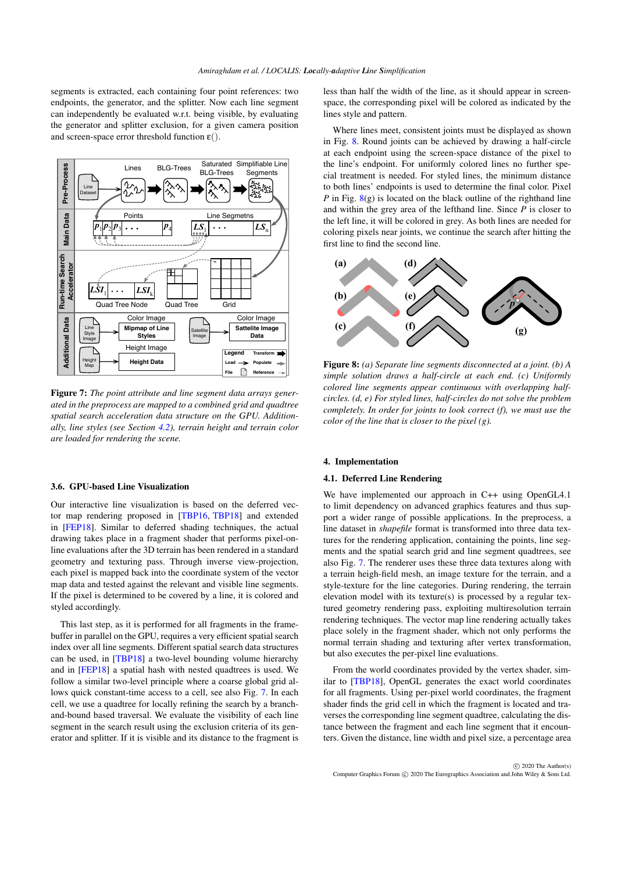<span id="page-5-4"></span>segments is extracted, each containing four point references: two endpoints, the generator, and the splitter. Now each line segment can independently be evaluated w.r.t. being visible, by evaluating the generator and splitter exclusion, for a given camera position and screen-space error threshold function  $\varepsilon$ .



Figure 7: *The point attribute and line segment data arrays generated in the preprocess are mapped to a combined grid and quadtree spatial search acceleration data structure on the GPU. Additionally, line styles (see Section [4.2\)](#page-6-0), terrain height and terrain color are loaded for rendering the scene.*

## <span id="page-5-0"></span>3.6. GPU-based Line Visualization

Our interactive line visualization is based on the deferred vector map rendering proposed in [\[TBP16,](#page-10-0) [TBP18\]](#page-10-1) and extended in [\[FEP18\]](#page-10-2). Similar to deferred shading techniques, the actual drawing takes place in a fragment shader that performs pixel-online evaluations after the 3D terrain has been rendered in a standard geometry and texturing pass. Through inverse view-projection, each pixel is mapped back into the coordinate system of the vector map data and tested against the relevant and visible line segments. If the pixel is determined to be covered by a line, it is colored and styled accordingly.

This last step, as it is performed for all fragments in the framebuffer in parallel on the GPU, requires a very efficient spatial search index over all line segments. Different spatial search data structures can be used, in [\[TBP18\]](#page-10-1) a two-level bounding volume hierarchy and in [\[FEP18\]](#page-10-2) a spatial hash with nested quadtrees is used. We follow a similar two-level principle where a coarse global grid allows quick constant-time access to a cell, see also Fig. [7.](#page-5-1) In each cell, we use a quadtree for locally refining the search by a branchand-bound based traversal. We evaluate the visibility of each line segment in the search result using the exclusion criteria of its generator and splitter. If it is visible and its distance to the fragment is

less than half the width of the line, as it should appear in screenspace, the corresponding pixel will be colored as indicated by the lines style and pattern.

Where lines meet, consistent joints must be displayed as shown in Fig. [8.](#page-5-2) Round joints can be achieved by drawing a half-circle at each endpoint using the screen-space distance of the pixel to the line's endpoint. For uniformly colored lines no further special treatment is needed. For styled lines, the minimum distance to both lines' endpoints is used to determine the final color. Pixel *P* in Fig.  $8(g)$  $8(g)$  is located on the black outline of the righthand line and within the grey area of the lefthand line. Since *P* is closer to the left line, it will be colored in grey. As both lines are needed for coloring pixels near joints, we continue the search after hitting the first line to find the second line.



<span id="page-5-2"></span><span id="page-5-1"></span>Figure 8: *(a) Separate line segments disconnected at a joint. (b) A simple solution draws a half-circle at each end. (c) Uniformly colored line segments appear continuous with overlapping halfcircles. (d, e) For styled lines, half-circles do not solve the problem completely. In order for joints to look correct (f), we must use the color of the line that is closer to the pixel (g).*

## <span id="page-5-3"></span>4. Implementation

## 4.1. Deferred Line Rendering

We have implemented our approach in C++ using OpenGL4.1 to limit dependency on advanced graphics features and thus support a wider range of possible applications. In the preprocess, a line dataset in *shapefile* format is transformed into three data textures for the rendering application, containing the points, line segments and the spatial search grid and line segment quadtrees, see also Fig. [7.](#page-5-1) The renderer uses these three data textures along with a terrain heigh-field mesh, an image texture for the terrain, and a style-texture for the line categories. During rendering, the terrain elevation model with its texture(s) is processed by a regular textured geometry rendering pass, exploiting multiresolution terrain rendering techniques. The vector map line rendering actually takes place solely in the fragment shader, which not only performs the normal terrain shading and texturing after vertex transformation, but also executes the per-pixel line evaluations.

From the world coordinates provided by the vertex shader, similar to [\[TBP18\]](#page-10-1), OpenGL generates the exact world coordinates for all fragments. Using per-pixel world coordinates, the fragment shader finds the grid cell in which the fragment is located and traverses the corresponding line segment quadtree, calculating the distance between the fragment and each line segment that it encounters. Given the distance, line width and pixel size, a percentage area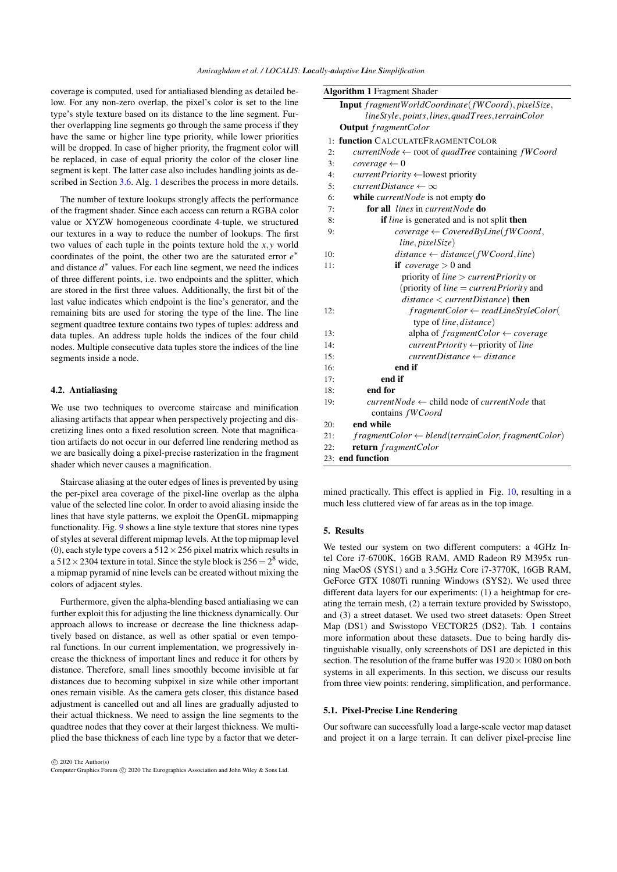coverage is computed, used for antialiased blending as detailed below. For any non-zero overlap, the pixel's color is set to the line type's style texture based on its distance to the line segment. Further overlapping line segments go through the same process if they have the same or higher line type priority, while lower priorities will be dropped. In case of higher priority, the fragment color will be replaced, in case of equal priority the color of the closer line segment is kept. The latter case also includes handling joints as de-scribed in Section [3.6.](#page-5-0) Alg. [1](#page-6-1) describes the process in more details.

The number of texture lookups strongly affects the performance of the fragment shader. Since each access can return a RGBA color value or XYZW homogeneous coordinate 4-tuple, we structured our textures in a way to reduce the number of lookups. The first two values of each tuple in the points texture hold the *x*, *y* world coordinates of the point, the other two are the saturated error *e* ∗ and distance  $d^*$  values. For each line segment, we need the indices of three different points, i.e. two endpoints and the splitter, which are stored in the first three values. Additionally, the first bit of the last value indicates which endpoint is the line's generator, and the remaining bits are used for storing the type of the line. The line segment quadtree texture contains two types of tuples: address and data tuples. An address tuple holds the indices of the four child nodes. Multiple consecutive data tuples store the indices of the line segments inside a node.

# <span id="page-6-0"></span>4.2. Antialiasing

We use two techniques to overcome staircase and minification aliasing artifacts that appear when perspectively projecting and discretizing lines onto a fixed resolution screen. Note that magnification artifacts do not occur in our deferred line rendering method as we are basically doing a pixel-precise rasterization in the fragment shader which never causes a magnification.

Staircase aliasing at the outer edges of lines is prevented by using the per-pixel area coverage of the pixel-line overlap as the alpha value of the selected line color. In order to avoid aliasing inside the lines that have style patterns, we exploit the OpenGL mipmapping functionality. Fig. [9](#page-7-0) shows a line style texture that stores nine types of styles at several different mipmap levels. At the top mipmap level (0), each style type covers a  $512 \times 256$  pixel matrix which results in a  $512 \times 2304$  texture in total. Since the style block is  $256 = 2^8$  wide, a mipmap pyramid of nine levels can be created without mixing the colors of adjacent styles.

Furthermore, given the alpha-blending based antialiasing we can further exploit this for adjusting the line thickness dynamically. Our approach allows to increase or decrease the line thickness adaptively based on distance, as well as other spatial or even temporal functions. In our current implementation, we progressively increase the thickness of important lines and reduce it for others by distance. Therefore, small lines smoothly become invisible at far distances due to becoming subpixel in size while other important ones remain visible. As the camera gets closer, this distance based adjustment is cancelled out and all lines are gradually adjusted to their actual thickness. We need to assign the line segments to the quadtree nodes that they cover at their largest thickness. We multiplied the base thickness of each line type by a factor that we deter-

 $\circ$  2020 The Author(s) Computer Graphics Forum (C) 2020 The Eurographics Association and John Wiley & Sons Ltd.

<span id="page-6-1"></span>

|     | <b>Algorithm 1 Fragment Shader</b>                             |  |  |  |  |  |  |
|-----|----------------------------------------------------------------|--|--|--|--|--|--|
|     | Input fragmentWorldCoordinate(fWCoord), pixelSize,             |  |  |  |  |  |  |
|     | lineStyle, points, lines, quadTrees, terrainColor              |  |  |  |  |  |  |
|     | <b>Output</b> fragmentColor                                    |  |  |  |  |  |  |
|     | 1: function CALCULATEFRAGMENTCOLOR                             |  |  |  |  |  |  |
| 2:  | $currentNode \leftarrow root of quadTree containing fWCord$    |  |  |  |  |  |  |
| 3:  | $coverage\leftarrow 0$                                         |  |  |  |  |  |  |
| 4:  | $currentPriority \leftarrow lowest priority$                   |  |  |  |  |  |  |
| 5:  | $currentDistance \leftarrow \infty$                            |  |  |  |  |  |  |
| 6:  | while <i>currentNode</i> is not empty <b>do</b>                |  |  |  |  |  |  |
| 7:  | <b>for all</b> <i>lines</i> in <i>currentNode</i> do           |  |  |  |  |  |  |
| 8:  | <b>if</b> line is generated and is not split then              |  |  |  |  |  |  |
| 9:  | $coverage \leftarrow CoveredByLine(fWCoord,$                   |  |  |  |  |  |  |
|     | line, pixelSize)                                               |  |  |  |  |  |  |
| 10: | $distance \leftarrow distance(fWCoord, line)$                  |  |  |  |  |  |  |
| 11: | <b>if</b> <i>coverage</i> $> 0$ and                            |  |  |  |  |  |  |
|     | priority of <i>line</i> $> currentPriority$ or                 |  |  |  |  |  |  |
|     | (priority of <i>line = current Priority</i> and                |  |  |  |  |  |  |
|     | $distance < currentDistance$ ) then                            |  |  |  |  |  |  |
| 12: | $fragmentColor \leftarrow readLineStyleColor($                 |  |  |  |  |  |  |
|     | type of line, distance)                                        |  |  |  |  |  |  |
| 13: | alpha of fragmentColor $\leftarrow$ coverage                   |  |  |  |  |  |  |
| 14: | $currentPriority \leftarrow priority$ of line                  |  |  |  |  |  |  |
| 15: | $currentDistance \leftarrow distance$                          |  |  |  |  |  |  |
| 16: | end if                                                         |  |  |  |  |  |  |
| 17: | end if                                                         |  |  |  |  |  |  |
| 18: | end for                                                        |  |  |  |  |  |  |
| 19: | $currentNode \leftarrow child$ node of <i>currentNode</i> that |  |  |  |  |  |  |
|     | contains fWCoord                                               |  |  |  |  |  |  |
| 20: | end while                                                      |  |  |  |  |  |  |
| 21: | $fragmentColor \leftarrow blend(terrainColor, fragmentColor)$  |  |  |  |  |  |  |
| 22: | return fragmentColor                                           |  |  |  |  |  |  |
|     | 23: end function                                               |  |  |  |  |  |  |

mined practically. This effect is applied in Fig. [10,](#page-8-0) resulting in a much less cluttered view of far areas as in the top image.

## 5. Results

We tested our system on two different computers: a 4GHz Intel Core i7-6700K, 16GB RAM, AMD Radeon R9 M395x running MacOS (SYS1) and a 3.5GHz Core i7-3770K, 16GB RAM, GeForce GTX 1080Ti running Windows (SYS2). We used three different data layers for our experiments: (1) a heightmap for creating the terrain mesh, (2) a terrain texture provided by Swisstopo, and (3) a street dataset. We used two street datasets: Open Street Map (DS1) and Swisstopo VECTOR25 (DS2). Tab. [1](#page-7-1) contains more information about these datasets. Due to being hardly distinguishable visually, only screenshots of DS1 are depicted in this section. The resolution of the frame buffer was  $1920 \times 1080$  on both systems in all experiments. In this section, we discuss our results from three view points: rendering, simplification, and performance.

## 5.1. Pixel-Precise Line Rendering

Our software can successfully load a large-scale vector map dataset and project it on a large terrain. It can deliver pixel-precise line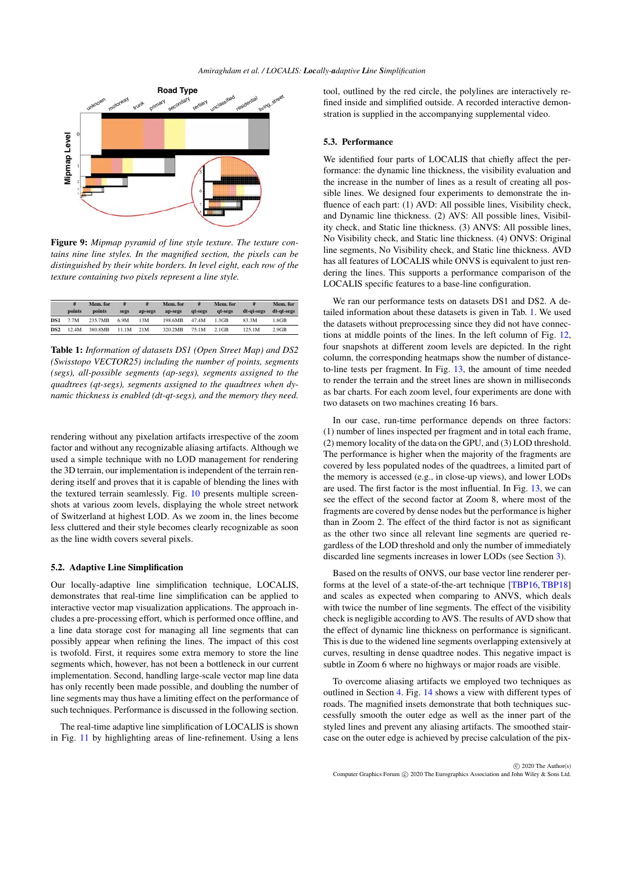<span id="page-7-2"></span>

Figure 9: *Mipmap pyramid of line style texture. The texture contains nine line styles. In the magnified section, the pixels can be distinguished by their white borders. In level eight, each row of the texture containing two pixels represent a line style.*

|                 | #<br>points | Mem. for<br>points | #<br>segs | ap-segs | Mem. for<br>ap-segs | #<br>at-segs | Mem. for<br>at-segs | #<br>dt-at-segs | Mem. for<br>dt-at-segs |
|-----------------|-------------|--------------------|-----------|---------|---------------------|--------------|---------------------|-----------------|------------------------|
| <b>DS1</b>      | 7.7M        | 235.7MB            | 6.9M      | 13M     | 198.6MB             | 47.4M        | $-3GB$              | 83.3M           | 1.8GB                  |
| DS <sub>2</sub> | 12.4M       | 380.8MB            | 11.1M     | 21 M    | 320.2MB             | 75.1M        | $2.1$ GB            | 125.1M          | $2.9$ GB               |

<span id="page-7-1"></span>Table 1: *Information of datasets DS1 (Open Street Map) and DS2 (Swisstopo VECTOR25) including the number of points, segments (segs), all-possible segments (ap-segs), segments assigned to the quadtrees (qt-segs), segments assigned to the quadtrees when dynamic thickness is enabled (dt-qt-segs), and the memory they need.*

rendering without any pixelation artifacts irrespective of the zoom factor and without any recognizable aliasing artifacts. Although we used a simple technique with no LOD management for rendering the 3D terrain, our implementation is independent of the terrain rendering itself and proves that it is capable of blending the lines with the textured terrain seamlessly. Fig. [10](#page-8-0) presents multiple screenshots at various zoom levels, displaying the whole street network of Switzerland at highest LOD. As we zoom in, the lines become less cluttered and their style becomes clearly recognizable as soon as the line width covers several pixels.

## 5.2. Adaptive Line Simplification

Our locally-adaptive line simplification technique, LOCALIS, demonstrates that real-time line simplification can be applied to interactive vector map visualization applications. The approach includes a pre-processing effort, which is performed once offline, and a line data storage cost for managing all line segments that can possibly appear when refining the lines. The impact of this cost is twofold. First, it requires some extra memory to store the line segments which, however, has not been a bottleneck in our current implementation. Second, handling large-scale vector map line data has only recently been made possible, and doubling the number of line segments may thus have a limiting effect on the performance of such techniques. Performance is discussed in the following section.

The real-time adaptive line simplification of LOCALIS is shown in Fig. [11](#page-8-1) by highlighting areas of line-refinement. Using a lens

tool, outlined by the red circle, the polylines are interactively refined inside and simplified outside. A recorded interactive demonstration is supplied in the accompanying supplemental video.

## 5.3. Performance

<span id="page-7-0"></span>We identified four parts of LOCALIS that chiefly affect the performance: the dynamic line thickness, the visibility evaluation and the increase in the number of lines as a result of creating all possible lines. We designed four experiments to demonstrate the influence of each part: (1) AVD: All possible lines, Visibility check, and Dynamic line thickness. (2) AVS: All possible lines, Visibility check, and Static line thickness. (3) ANVS: All possible lines, No Visibility check, and Static line thickness. (4) ONVS: Original line segments, No Visibility check, and Static line thickness. AVD has all features of LOCALIS while ONVS is equivalent to just rendering the lines. This supports a performance comparison of the LOCALIS specific features to a base-line configuration.

We ran our performance tests on datasets DS1 and DS2. A detailed information about these datasets is given in Tab. [1.](#page-7-1) We used the datasets without preprocessing since they did not have connections at middle points of the lines. In the left column of Fig. [12,](#page-9-1) four snapshots at different zoom levels are depicted. In the right column, the corresponding heatmaps show the number of distanceto-line tests per fragment. In Fig. [13,](#page-9-2) the amount of time needed to render the terrain and the street lines are shown in milliseconds as bar charts. For each zoom level, four experiments are done with two datasets on two machines creating 16 bars.

In our case, run-time performance depends on three factors: (1) number of lines inspected per fragment and in total each frame, (2) memory locality of the data on the GPU, and (3) LOD threshold. The performance is higher when the majority of the fragments are covered by less populated nodes of the quadtrees, a limited part of the memory is accessed (e.g., in close-up views), and lower LODs are used. The first factor is the most influential. In Fig. [13,](#page-9-2) we can see the effect of the second factor at Zoom 8, where most of the fragments are covered by dense nodes but the performance is higher than in Zoom 2. The effect of the third factor is not as significant as the other two since all relevant line segments are queried regardless of the LOD threshold and only the number of immediately discarded line segments increases in lower LODs (see Section [3\)](#page-2-2).

Based on the results of ONVS, our base vector line renderer performs at the level of a state-of-the-art technique [\[TBP16,](#page-10-0) [TBP18\]](#page-10-1) and scales as expected when comparing to ANVS, which deals with twice the number of line segments. The effect of the visibility check is negligible according to AVS. The results of AVD show that the effect of dynamic line thickness on performance is significant. This is due to the widened line segments overlapping extensively at curves, resulting in dense quadtree nodes. This negative impact is subtle in Zoom 6 where no highways or major roads are visible.

To overcome aliasing artifacts we employed two techniques as outlined in Section [4.](#page-5-3) Fig. [14](#page-9-3) shows a view with different types of roads. The magnified insets demonstrate that both techniques successfully smooth the outer edge as well as the inner part of the styled lines and prevent any aliasing artifacts. The smoothed staircase on the outer edge is achieved by precise calculation of the pix-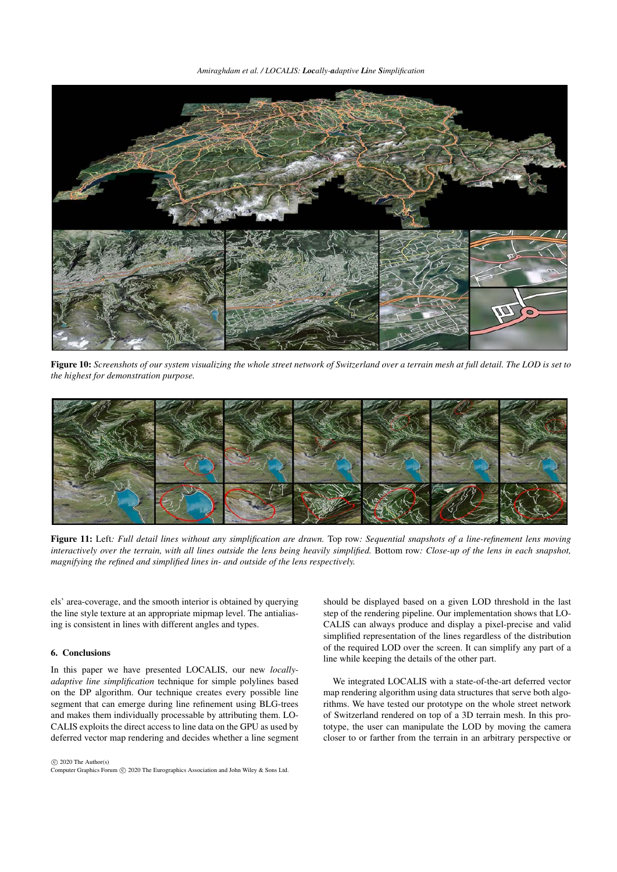*Amiraghdam et al. / LOCALIS: Locally-adaptive Line Simplification*



Figure 10: *Screenshots of our system visualizing the whole street network of Switzerland over a terrain mesh at full detail. The LOD is set to the highest for demonstration purpose.*



Figure 11: Left*: Full detail lines without any simplification are drawn.* Top row*: Sequential snapshots of a line-refinement lens moving interactively over the terrain, with all lines outside the lens being heavily simplified.* Bottom row*: Close-up of the lens in each snapshot, magnifying the refined and simplified lines in- and outside of the lens respectively.*

els' area-coverage, and the smooth interior is obtained by querying the line style texture at an appropriate mipmap level. The antialiasing is consistent in lines with different angles and types.

# 6. Conclusions

In this paper we have presented LOCALIS, our new *locallyadaptive line simplification* technique for simple polylines based on the DP algorithm. Our technique creates every possible line segment that can emerge during line refinement using BLG-trees and makes them individually processable by attributing them. LO-CALIS exploits the direct access to line data on the GPU as used by deferred vector map rendering and decides whether a line segment

 $\circled{c}$  2020 The Author(s) Computer Graphics Forum (C) 2020 The Eurographics Association and John Wiley & Sons Ltd. <span id="page-8-1"></span><span id="page-8-0"></span>should be displayed based on a given LOD threshold in the last step of the rendering pipeline. Our implementation shows that LO-CALIS can always produce and display a pixel-precise and valid simplified representation of the lines regardless of the distribution of the required LOD over the screen. It can simplify any part of a line while keeping the details of the other part.

We integrated LOCALIS with a state-of-the-art deferred vector map rendering algorithm using data structures that serve both algorithms. We have tested our prototype on the whole street network of Switzerland rendered on top of a 3D terrain mesh. In this prototype, the user can manipulate the LOD by moving the camera closer to or farther from the terrain in an arbitrary perspective or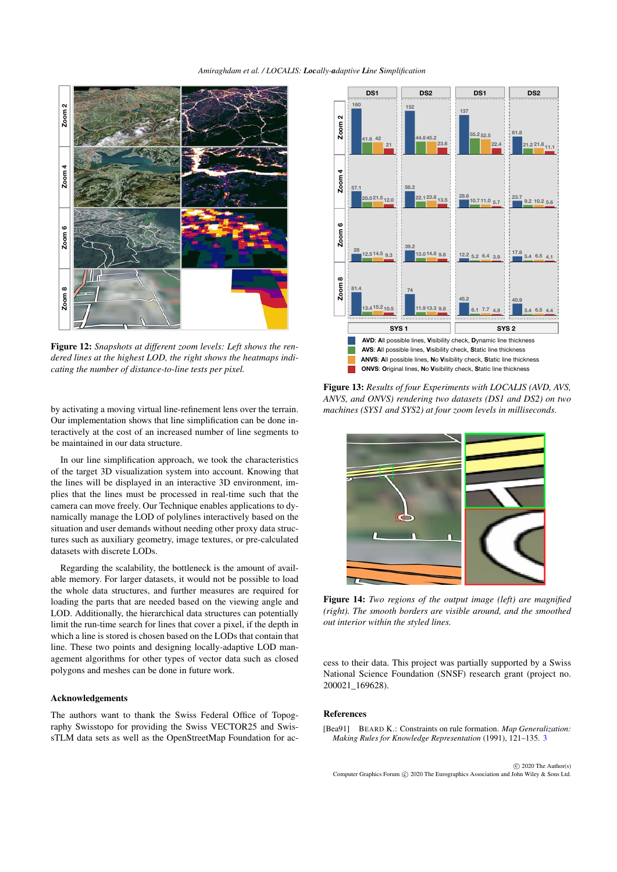

Figure 12: Snapshots at different zoom levels: Left shows the rendered lines at the highest LOD, the right shows the heatmaps indi*cating the number of distance-to-line tests per pixel.*

by activating a moving virtual line-refinement lens over the terrain. Our implementation shows that line simplification can be done interactively at the cost of an increased number of line segments to be maintained in our data structure.

In our line simplification approach, we took the characteristics of the target 3D visualization system into account. Knowing that the lines will be displayed in an interactive 3D environment, implies that the lines must be processed in real-time such that the camera can move freely. Our Technique enables applications to dy-1 namically manage the LOD of polylines interactively based on the situation and user demands without needing other proxy data structures such as auxiliary geometry, image textures, or pre-calculated datasets with discrete LODs.

Regarding the scalability, the bottleneck is the amount of available memory. For larger datasets, it would not be possible to load the whole data structures, and further measures are required for loading the parts that are needed based on the viewing angle and LOD. Additionally, the hierarchical data structures can potentially limit the run-time search for lines that cover a pixel, if the depth in which a line is stored is chosen based on the LODs that contain that line. These two points and designing locally-adaptive LOD management algorithms for other types of vector data such as closed polygons and meshes can be done in future work.

## Acknowledgements

The authors want to thank the Swiss Federal Office of Topography Swisstopo for providing the Swiss VECTOR25 and SwissTLM data sets as well as the OpenStreetMap Foundation for ac-



<span id="page-9-1"></span>Figure 13: *Results of four Experiments with LOCALIS (AVD, AVS, ANVS, and ONVS) rendering two datasets (DS1 and DS2) on two machines (SYS1 and SYS2) at four zoom levels in milliseconds.*

<span id="page-9-2"></span>

<span id="page-9-3"></span>Figure 14: *Two regions of the output image (left) are magnified (right). The smooth borders are visible around, and the smoothed out interior within the styled lines.*

cess to their data. This project was partially supported by a Swiss National Science Foundation (SNSF) research grant (project no. 200021\_169628).

#### References

<span id="page-9-0"></span>[Bea91] BEARD K.: Constraints on rule formation. *Map Generalization: Making Rules for Knowledge Representation* (1991), 121–135. [3](#page-2-3)